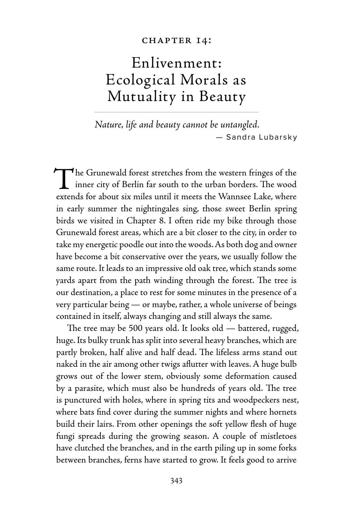#### CHAPTER 14:

# Enlivenment: Ecological Morals as Mutuality in Beauty

*Nature, life and beauty cannot be untangled.* — Sandra Lubarsky

 $\blacktriangleleft$  he Grunewald forest stretches from the western fringes of the inner city of Berlin far south to the urban borders. The wood extends for about six miles until it meets the Wannsee Lake, where in early summer the nightingales sing, those sweet Berlin spring birds we visited in Chapter 8. I often ride my bike through those Grunewald forest areas, which are a bit closer to the city, in order to take my energetic poodle out into the woods. As both dog and owner have become a bit conservative over the years, we usually follow the same route. It leads to an impressive old oak tree, which stands some yards apart from the path winding through the forest. The tree is our destination, a place to rest for some minutes in the presence of a very particular being — or maybe, rather, a whole universe of beings contained in itself, always changing and still always the same.

The tree may be 500 years old. It looks old  $-$  battered, rugged, huge. Its bulky trunk has split into several heavy branches, which are partly broken, half alive and half dead. The lifeless arms stand out naked in the air among other twigs aflutter with leaves. A huge bulb grows out of the lower stem, obviously some deformation caused by a parasite, which must also be hundreds of years old. The tree is punctured with holes, where in spring tits and woodpeckers nest, where bats find cover during the summer nights and where hornets build their lairs. From other openings the soft yellow flesh of huge fungi spreads during the growing season. A couple of mistletoes have clutched the branches, and in the earth piling up in some forks between branches, ferns have started to grow. It feels good to arrive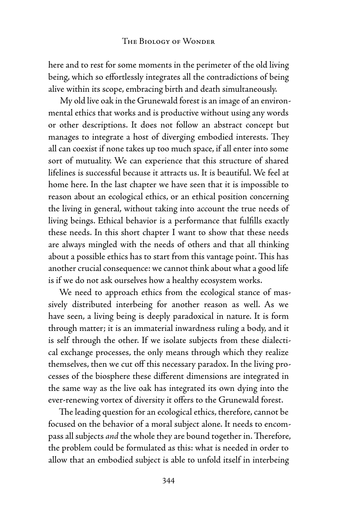here and to rest for some moments in the perimeter of the old living being, which so effortlessly integrates all the contradictions of being alive within its scope, embracing birth and death simultaneously.

My old live oak in the Grunewald forest is an image of an environmental ethics that works and is productive without using any words or other descriptions. It does not follow an abstract concept but manages to integrate a host of diverging embodied interests. They all can coexist if none takes up too much space, if all enter into some sort of mutuality. We can experience that this structure of shared lifelines is successful because it attracts us. It is beautiful. We feel at home here. In the last chapter we have seen that it is impossible to reason about an ecological ethics, or an ethical position concerning the living in general, without taking into account the true needs of living beings. Ethical behavior is a performance that fulfills exactly these needs. In this short chapter I want to show that these needs are always mingled with the needs of others and that all thinking about a possible ethics has to start from this vantage point. This has another crucial consequence: we cannot think about what a good life is if we do not ask ourselves how a healthy ecosystem works.

We need to approach ethics from the ecological stance of massively distributed interbeing for another reason as well. As we have seen, a living being is deeply paradoxical in nature. It is form through matter; it is an immaterial inwardness ruling a body, and it is self through the other. If we isolate subjects from these dialectical exchange processes, the only means through which they realize themselves, then we cut off this necessary paradox. In the living processes of the biosphere these different dimensions are integrated in the same way as the live oak has integrated its own dying into the ever-renewing vortex of diversity it offers to the Grunewald forest.

The leading question for an ecological ethics, therefore, cannot be focused on the behavior of a moral subject alone. It needs to encompass all subjects *and* the whole they are bound together in. Therefore, the problem could be formulated as this: what is needed in order to allow that an embodied subject is able to unfold itself in interbeing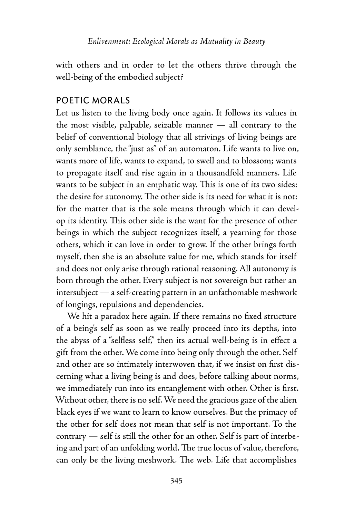*Enlivenment: Ecological Morals as Mutuality in Beauty* 

with others and in order to let the others thrive through the well-being of the embodied subject?

#### POETIC MORALS

Let us listen to the living body once again. It follows its values in the most visible, palpable, seizable manner — all contrary to the belief of conventional biology that all strivings of living beings are only semblance, the "just as" of an automaton. Life wants to live on, wants more of life, wants to expand, to swell and to blossom; wants to propagate itself and rise again in a thousandfold manners. Life wants to be subject in an emphatic way. This is one of its two sides: the desire for autonomy. The other side is its need for what it is not: for the matter that is the sole means through which it can develop its identity. This other side is the want for the presence of other beings in which the subject recognizes itself, a yearning for those others, which it can love in order to grow. If the other brings forth myself, then she is an absolute value for me, which stands for itself and does not only arise through rational reasoning. All autonomy is born through the other. Every subject is not sovereign but rather an intersubject — a self-creating pattern in an unfathomable meshwork of longings, repulsions and dependencies.

We hit a paradox here again. If there remains no fixed structure of a being's self as soon as we really proceed into its depths, into the abyss of a "selfless self," then its actual well-being is in effect a gift from the other. We come into being only through the other. Self and other are so intimately interwoven that, if we insist on first discerning what a living being is and does, before talking about norms, we immediately run into its entanglement with other. Other is first. Without other, there is no self. We need the gracious gaze of the alien black eyes if we want to learn to know ourselves. But the primacy of the other for self does not mean that self is not important. To the contrary — self is still the other for an other. Self is part of interbeing and part of an unfolding world. The true locus of value, therefore, can only be the living meshwork. The web. Life that accomplishes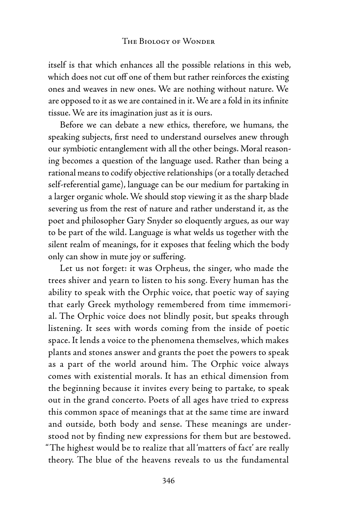itself is that which enhances all the possible relations in this web, which does not cut off one of them but rather reinforces the existing ones and weaves in new ones. We are nothing without nature. We are opposed to it as we are contained in it. We are a fold in its infinite tissue. We are its imagination just as it is ours.

Before we can debate a new ethics, therefore, we humans, the speaking subjects, first need to understand ourselves anew through our symbiotic entanglement with all the other beings. Moral reasoning becomes a question of the language used. Rather than being a rational means to codify objective relationships (or a totally detached self-referential game), language can be our medium for partaking in a larger organic whole. We should stop viewing it as the sharp blade severing us from the rest of nature and rather understand it, as the poet and philosopher Gary Snyder so eloquently argues, as our way to be part of the wild. Language is what welds us together with the silent realm of meanings, for it exposes that feeling which the body only can show in mute joy or suffering.

Let us not forget: it was Orpheus, the singer, who made the trees shiver and yearn to listen to his song. Every human has the ability to speak with the Orphic voice, that poetic way of saying that early Greek mythology remembered from time immemorial. The Orphic voice does not blindly posit, but speaks through listening. It sees with words coming from the inside of poetic space. It lends a voice to the phenomena themselves, which makes plants and stones answer and grants the poet the powers to speak as a part of the world around him. The Orphic voice always comes with existential morals. It has an ethical dimension from the beginning because it invites every being to partake, to speak out in the grand concerto. Poets of all ages have tried to express this common space of meanings that at the same time are inward and outside, both body and sense. These meanings are understood not by finding new expressions for them but are bestowed. "The highest would be to realize that all 'matters of fact' are really theory. The blue of the heavens reveals to us the fundamental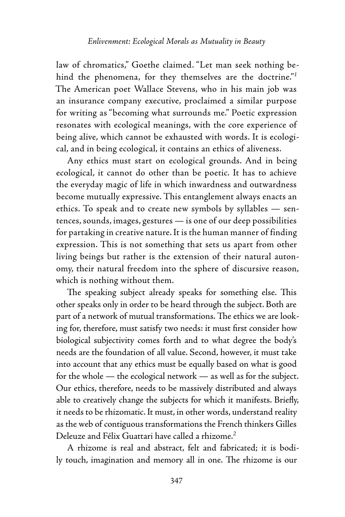law of chromatics," Goethe claimed. "Let man seek nothing behind the phenomena, for they themselves are the doctrine."*<sup>1</sup>* The American poet Wallace Stevens, who in his main job was an insurance company executive, proclaimed a similar purpose for writing as "becoming what surrounds me." Poetic expression resonates with ecological meanings, with the core experience of being alive, which cannot be exhausted with words. It is ecological, and in being ecological, it contains an ethics of aliveness.

Any ethics must start on ecological grounds. And in being ecological, it cannot do other than be poetic. It has to achieve the everyday magic of life in which inwardness and outwardness become mutually expressive. This entanglement always enacts an ethics. To speak and to create new symbols by syllables — sentences, sounds, images, gestures — is one of our deep possibilities for partaking in creative nature. It is the human manner of finding expression. This is not something that sets us apart from other living beings but rather is the extension of their natural autonomy, their natural freedom into the sphere of discursive reason, which is nothing without them.

The speaking subject already speaks for something else. This other speaks only in order to be heard through the subject. Both are part of a network of mutual transformations. The ethics we are looking for, therefore, must satisfy two needs: it must first consider how biological subjectivity comes forth and to what degree the body's needs are the foundation of all value. Second, however, it must take into account that any ethics must be equally based on what is good for the whole — the ecological network — as well as for the subject. Our ethics, therefore, needs to be massively distributed and always able to creatively change the subjects for which it manifests. Briefly, it needs to be rhizomatic. It must, in other words, understand reality as the web of contiguous transformations the French thinkers Gilles Deleuze and Félix Guattari have called a rhizome.*<sup>2</sup>*

A rhizome is real and abstract, felt and fabricated; it is bodily touch, imagination and memory all in one. The rhizome is our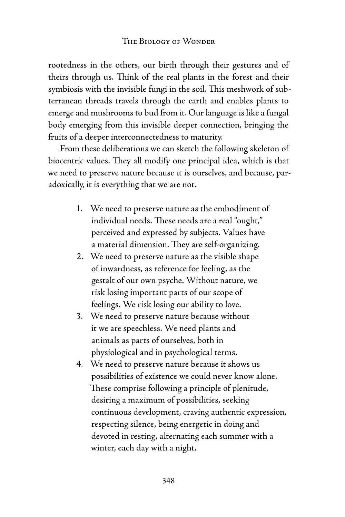rootedness in the others, our birth through their gestures and of theirs through us. Think of the real plants in the forest and their symbiosis with the invisible fungi in the soil. This meshwork of subterranean threads travels through the earth and enables plants to emerge and mushrooms to bud from it. Our language is like a fungal body emerging from this invisible deeper connection, bringing the fruits of a deeper interconnectedness to maturity.

From these deliberations we can sketch the following skeleton of biocentric values. They all modify one principal idea, which is that we need to preserve nature because it is ourselves, and because, paradoxically, it is everything that we are not.

- 1. We need to preserve nature as the embodiment of individual needs. These needs are a real "ought," perceived and expressed by subjects. Values have a material dimension. They are self-organizing.
- 2. We need to preserve nature as the visible shape of inwardness, as reference for feeling, as the gestalt of our own psyche. Without nature, we risk losing important parts of our scope of feelings. We risk losing our ability to love.
- 3. We need to preserve nature because without it we are speechless. We need plants and animals as parts of ourselves, both in physiological and in psychological terms.
- 4. We need to preserve nature because it shows us possibilities of existence we could never know alone. These comprise following a principle of plenitude, desiring a maximum of possibilities, seeking continuous development, craving authentic expression, respecting silence, being energetic in doing and devoted in resting, alternating each summer with a winter, each day with a night.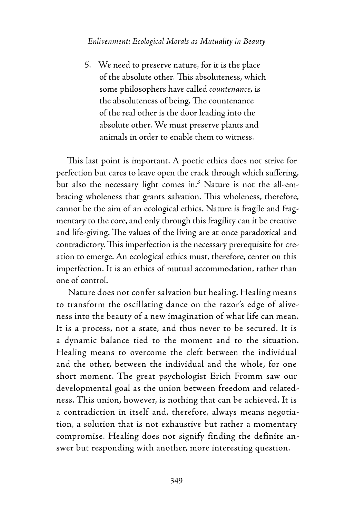5. We need to preserve nature, for it is the place of the absolute other. This absoluteness, which some philosophers have called *countenance,* is the absoluteness of being. The countenance of the real other is the door leading into the absolute other. We must preserve plants and animals in order to enable them to witness.

This last point is important. A poetic ethics does not strive for perfection but cares to leave open the crack through which suffering, but also the necessary light comes in.*<sup>3</sup>* Nature is not the all-embracing wholeness that grants salvation. This wholeness, therefore, cannot be the aim of an ecological ethics. Nature is fragile and fragmentary to the core, and only through this fragility can it be creative and life-giving. The values of the living are at once paradoxical and contradictory. This imperfection is the necessary prerequisite for creation to emerge. An ecological ethics must, therefore, center on this imperfection. It is an ethics of mutual accommodation, rather than one of control.

Nature does not confer salvation but healing. Healing means to transform the oscillating dance on the razor's edge of aliveness into the beauty of a new imagination of what life can mean. It is a process, not a state, and thus never to be secured. It is a dynamic balance tied to the moment and to the situation. Healing means to overcome the cleft between the individual and the other, between the individual and the whole, for one short moment. The great psychologist Erich Fromm saw our developmental goal as the union between freedom and relatedness. This union, however, is nothing that can be achieved. It is a contradiction in itself and, therefore, always means negotiation, a solution that is not exhaustive but rather a momentary compromise. Healing does not signify finding the definite answer but responding with another, more interesting question.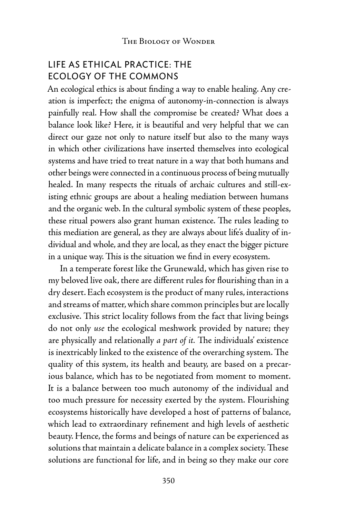## LIFE AS ETHICAL PRACTICE: THE ECOLOGY OF THE COMMONS

An ecological ethics is about finding a way to enable healing. Any creation is imperfect; the enigma of autonomy-in-connection is always painfully real. How shall the compromise be created? What does a balance look like? Here, it is beautiful and very helpful that we can direct our gaze not only to nature itself but also to the many ways in which other civilizations have inserted themselves into ecological systems and have tried to treat nature in a way that both humans and other beings were connected in a continuous process of being mutually healed. In many respects the rituals of archaic cultures and still-existing ethnic groups are about a healing mediation between humans and the organic web. In the cultural symbolic system of these peoples, these ritual powers also grant human existence. The rules leading to this mediation are general, as they are always about life's duality of individual and whole, and they are local, as they enact the bigger picture in a unique way. This is the situation we find in every ecosystem.

In a temperate forest like the Grunewald, which has given rise to my beloved live oak, there are different rules for flourishing than in a dry desert. Each ecosystem is the product of many rules, interactions and streams of matter, which share common principles but are locally exclusive. This strict locality follows from the fact that living beings do not only *use* the ecological meshwork provided by nature; they are physically and relationally *a part of it*. The individuals' existence is inextricably linked to the existence of the overarching system. The quality of this system, its health and beauty, are based on a precarious balance, which has to be negotiated from moment to moment. It is a balance between too much autonomy of the individual and too much pressure for necessity exerted by the system. Flourishing ecosystems historically have developed a host of patterns of balance, which lead to extraordinary refinement and high levels of aesthetic beauty. Hence, the forms and beings of nature can be experienced as solutions that maintain a delicate balance in a complex society. These solutions are functional for life, and in being so they make our core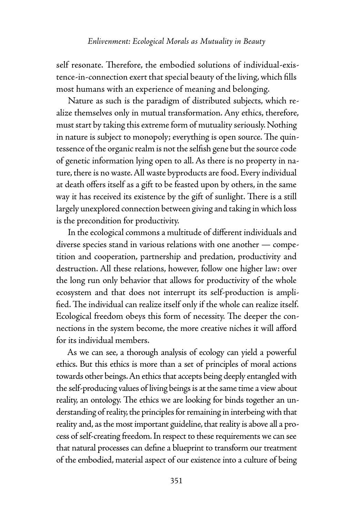self resonate. Therefore, the embodied solutions of individual-existence-in-connection exert that special beauty of the living, which fills most humans with an experience of meaning and belonging.

Nature as such is the paradigm of distributed subjects, which realize themselves only in mutual transformation. Any ethics, therefore, must start by taking this extreme form of mutuality seriously. Nothing in nature is subject to monopoly; everything is open source. The quintessence of the organic realm is not the selfish gene but the source code of genetic information lying open to all. As there is no property in nature, there is no waste. All waste byproducts are food. Every individual at death offers itself as a gift to be feasted upon by others, in the same way it has received its existence by the gift of sunlight. There is a still largely unexplored connection between giving and taking in which loss is the precondition for productivity.

In the ecological commons a multitude of different individuals and diverse species stand in various relations with one another — competition and cooperation, partnership and predation, productivity and destruction. All these relations, however, follow one higher law: over the long run only behavior that allows for productivity of the whole ecosystem and that does not interrupt its self-production is amplified. The individual can realize itself only if the whole can realize itself. Ecological freedom obeys this form of necessity. The deeper the connections in the system become, the more creative niches it will afford for its individual members.

As we can see, a thorough analysis of ecology can yield a powerful ethics. But this ethics is more than a set of principles of moral actions towards other beings. An ethics that accepts being deeply entangled with the self-producing values of living beings is at the same time a view about reality, an ontology. The ethics we are looking for binds together an understanding of reality, the principles for remaining in interbeing with that reality and, as the most important guideline, that reality is above all a process of self-creating freedom. In respect to these requirements we can see that natural processes can define a blueprint to transform our treatment of the embodied, material aspect of our existence into a culture of being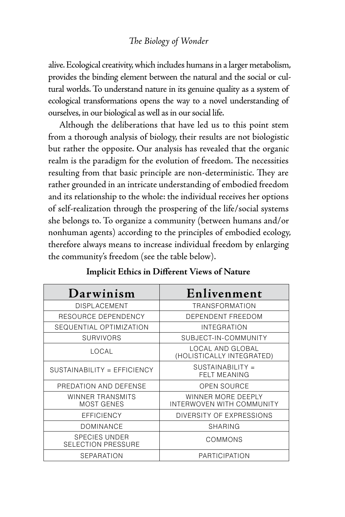#### T*e Biology of Wonder*

alive. Ecological creativity, which includes humans in a larger metabolism, provides the binding element between the natural and the social or cultural worlds. To understand nature in its genuine quality as a system of ecological transformations opens the way to a novel understanding of ourselves, in our biological as well as in our social life.

Although the deliberations that have led us to this point stem from a thorough analysis of biology, their results are not biologistic but rather the opposite. Our analysis has revealed that the organic realm is the paradigm for the evolution of freedom. The necessities resulting from that basic principle are non-deterministic. They are rather grounded in an intricate understanding of embodied freedom and its relationship to the whole: the individual receives her options of self-realization through the prospering of the life/social systems she belongs to. To organize a community (between humans and/or nonhuman agents) according to the principles of embodied ecology, therefore always means to increase individual freedom by enlarging the community's freedom (see the table below).

| Darwinism                                         | Enlivenment                                     |
|---------------------------------------------------|-------------------------------------------------|
| <b>DISPLACEMENT</b>                               | <b>TRANSFORMATION</b>                           |
| RESOURCE DEPENDENCY                               | DEPENDENT FREEDOM                               |
| SEQUENTIAL OPTIMIZATION                           | <b>INTEGRATION</b>                              |
| <b>SURVIVORS</b>                                  | SUBJECT-IN-COMMUNITY                            |
| LOCAL                                             | LOCAL AND GLOBAL<br>(HOLISTICALLY INTEGRATED)   |
| SUSTAINABILITY = EFFICIENCY                       | SUSTAINABILITY =<br><b>FELT MEANING</b>         |
| PREDATION AND DEFENSE                             | <b>OPEN SOURCE</b>                              |
| WINNER TRANSMITS<br><b>MOST GENES</b>             | WINNER MORE DEEPLY<br>INTERWOVEN WITH COMMUNITY |
| <b>EFFICIENCY</b>                                 | DIVERSITY OF EXPRESSIONS                        |
| <b>DOMINANCE</b>                                  | SHARING                                         |
| <b>SPECIES UNDER</b><br><b>SELECTION PRESSURE</b> | COMMONS                                         |
| SEPARATION                                        | <b>PARTICIPATION</b>                            |

#### **Implicit Ethics in Different Views of Nature**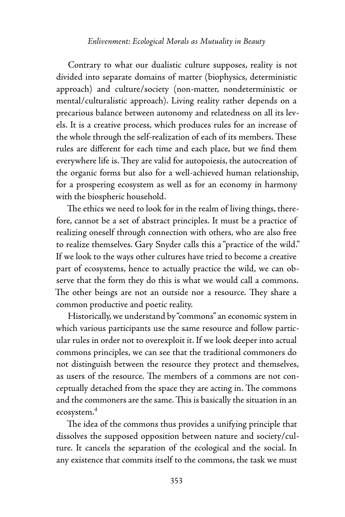Contrary to what our dualistic culture supposes, reality is not divided into separate domains of matter (biophysics, deterministic approach) and culture/society (non-matter, nondeterministic or mental/culturalistic approach). Living reality rather depends on a precarious balance between autonomy and relatedness on all its levels. It is a creative process, which produces rules for an increase of the whole through the self-realization of each of its members. These rules are different for each time and each place, but we find them everywhere life is. They are valid for autopoiesis, the autocreation of the organic forms but also for a well-achieved human relationship, for a prospering ecosystem as well as for an economy in harmony with the biospheric household.

The ethics we need to look for in the realm of living things, therefore, cannot be a set of abstract principles. It must be a practice of realizing oneself through connection with others, who are also free to realize themselves. Gary Snyder calls this a "practice of the wild." If we look to the ways other cultures have tried to become a creative part of ecosystems, hence to actually practice the wild, we can observe that the form they do this is what we would call a commons. The other beings are not an outside nor a resource. They share a common productive and poetic reality.

Historically, we understand by "commons" an economic system in which various participants use the same resource and follow particular rules in order not to overexploit it. If we look deeper into actual commons principles, we can see that the traditional commoners do not distinguish between the resource they protect and themselves, as users of the resource. The members of a commons are not conceptually detached from the space they are acting in. The commons and the commoners are the same. This is basically the situation in an ecosystem.*<sup>4</sup>*

The idea of the commons thus provides a unifying principle that dissolves the supposed opposition between nature and society/culture. It cancels the separation of the ecological and the social. In any existence that commits itself to the commons, the task we must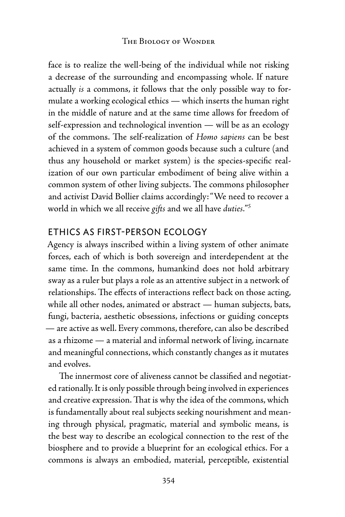face is to realize the well-being of the individual while not risking a decrease of the surrounding and encompassing whole. If nature actually *is* a commons, it follows that the only possible way to formulate a working ecological ethics — which inserts the human right in the middle of nature and at the same time allows for freedom of self-expression and technological invention — will be as an ecology of the commons. The self-realization of *Homo sapiens* can be best achieved in a system of common goods because such a culture (and thus any household or market system) is the species-specific realization of our own particular embodiment of being alive within a common system of other living subjects. The commons philosopher and activist David Bollier claims accordingly: "We need to recover a world in which we all receive *gifts* and we all have *duties.*" *5*

### ETHICS AS FIRST-PERSON ECOLOGY

Agency is always inscribed within a living system of other animate forces, each of which is both sovereign and interdependent at the same time. In the commons, humankind does not hold arbitrary sway as a ruler but plays a role as an attentive subject in a network of relationships. The effects of interactions reflect back on those acting, while all other nodes, animated or abstract — human subjects, bats, fungi, bacteria, aesthetic obsessions, infections or guiding concepts — are active as well. Every commons, therefore, can also be described as a rhizome — a material and informal network of living, incarnate and meaningful connections, which constantly changes as it mutates and evolves.

The innermost core of aliveness cannot be classified and negotiated rationally. It is only possible through being involved in experiences and creative expression. That is why the idea of the commons, which is fundamentally about real subjects seeking nourishment and meaning through physical, pragmatic, material and symbolic means, is the best way to describe an ecological connection to the rest of the biosphere and to provide a blueprint for an ecological ethics. For a commons is always an embodied, material, perceptible, existential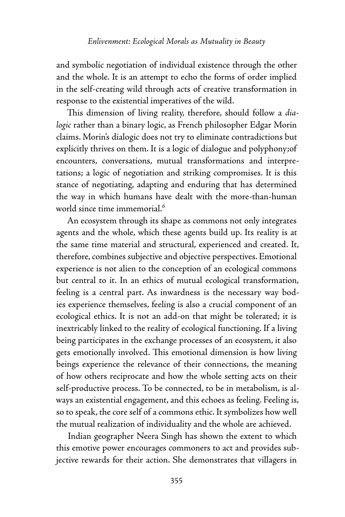and symbolic negotiation of individual existence through the other and the whole. It is an attempt to echo the forms of order implied in the self-creating wild through acts of creative transformation in response to the existential imperatives of the wild.

This dimension of living reality, therefore, should follow a *dialogic* rather than a binary logic, as French philosopher Edgar Morin claims. Morin's dialogic does not try to eliminate contradictions but explicitly thrives on them. It is a logic of dialogue and polyphony;of encounters, conversations, mutual transformations and interpretations; a logic of negotiation and striking compromises. It is this stance of negotiating, adapting and enduring that has determined the way in which humans have dealt with the more-than-human world since time immemorial.*<sup>6</sup>*

An ecosystem through its shape as commons not only integrates agents and the whole, which these agents build up. Its reality is at the same time material and structural, experienced and created. It, therefore, combines subjective and objective perspectives. Emotional experience is not alien to the conception of an ecological commons but central to it. In an ethics of mutual ecological transformation, feeling is a central part. As inwardness is the necessary way bodies experience themselves, feeling is also a crucial component of an ecological ethics. It is not an add-on that might be tolerated; it is inextricably linked to the reality of ecological functioning. If a living being participates in the exchange processes of an ecosystem, it also gets emotionally involved. This emotional dimension is how living beings experience the relevance of their connections, the meaning of how others reciprocate and how the whole setting acts on their self-productive process. To be connected, to be in metabolism, is always an existential engagement, and this echoes as feeling. Feeling is, so to speak, the core self of a commons ethic. It symbolizes how well the mutual realization of individuality and the whole are achieved.

Indian geographer Neera Singh has shown the extent to which this emotive power encourages commoners to act and provides subjective rewards for their action. She demonstrates that villagers in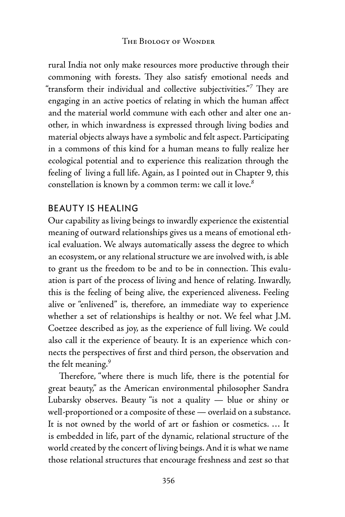rural India not only make resources more productive through their commoning with forests. They also satisfy emotional needs and "transform their individual and collective subjectivities."<sup>7</sup> They are engaging in an active poetics of relating in which the human affect and the material world commune with each other and alter one another, in which inwardness is expressed through living bodies and material objects always have a symbolic and felt aspect. Participating in a commons of this kind for a human means to fully realize her ecological potential and to experience this realization through the feeling of living a full life. Again, as I pointed out in Chapter 9, this constellation is known by a common term: we call it love.*<sup>8</sup>*

#### BEAUTY IS HEALING

Our capability as living beings to inwardly experience the existential meaning of outward relationships gives us a means of emotional ethical evaluation. We always automatically assess the degree to which an ecosystem, or any relational structure we are involved with, is able to grant us the freedom to be and to be in connection. This evaluation is part of the process of living and hence of relating. Inwardly, this is the feeling of being alive, the experienced aliveness. Feeling alive or "enlivened" is, therefore, an immediate way to experience whether a set of relationships is healthy or not. We feel what J.M. Coetzee described as joy, as the experience of full living. We could also call it the experience of beauty. It is an experience which connects the perspectives of first and third person, the observation and the felt meaning.*<sup>9</sup>*

Therefore, "where there is much life, there is the potential for great beauty," as the American environmental philosopher Sandra Lubarsky observes. Beauty "is not a quality — blue or shiny or well-proportioned or a composite of these — overlaid on a substance. It is not owned by the world of art or fashion or cosmetics. … It is embedded in life, part of the dynamic, relational structure of the world created by the concert of living beings. And it is what we name those relational structures that encourage freshness and zest so that